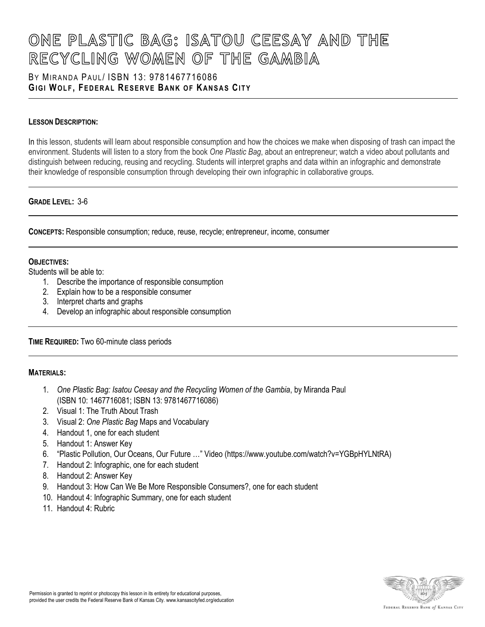### BY MIRANDA PAUL/ ISBN 13: [9781467716086](https://www.abebooks.com/products/isbn/9781467716086/21787143457) **GI G I WO L F , FE D E R A L RE S E R V E BA N K O F KA N S A S CI T Y**

### **LESSON DESCRIPTION:**

In this lesson, students will learn about responsible consumption and how the choices we make when disposing of trash can impact the environment. Students will listen to a story from the book *One Plastic Bag*, about an entrepreneur; watch a video about pollutants and distinguish between reducing, reusing and recycling. Students will interpret graphs and data within an infographic and demonstrate their knowledge of responsible consumption through developing their own infographic in collaborative groups.

### **GRADE LEVEL:** 3-6

**CONCEPTS:** Responsible consumption; reduce, reuse, recycle; entrepreneur, income, consumer

### **OBJECTIVES:**

Students will be able to:

- 1. Describe the importance of responsible consumption
- 2. Explain how to be a responsible consumer
- 3. Interpret charts and graphs
- 4. Develop an infographic about responsible consumption

### **TIME REQUIRED:** Two 60-minute class periods

### **MATERIALS:**

- 1. *One Plastic Bag: Isatou Ceesay and the Recycling Women of the Gambia*, by Miranda Paul (ISBN 10: 1467716081; ISBN 13: 9781467716086)
- 2. Visual 1: The Truth About Trash
- 3. Visual 2: *One Plastic Bag* Maps and Vocabulary
- 4. Handout 1, one for each student
- 5. Handout 1: Answer Key
- 6. "Plastic Pollution, Our Oceans, Our Future …" Video (https://www.youtube.com/watch?v=YGBpHYLNtRA)
- 7. Handout 2: Infographic, one for each student
- 8. Handout 2: Answer Key
- 9. Handout 3: How Can We Be More Responsible Consumers?, one for each student
- 10. Handout 4: Infographic Summary, one for each student
- 11. Handout 4: Rubric

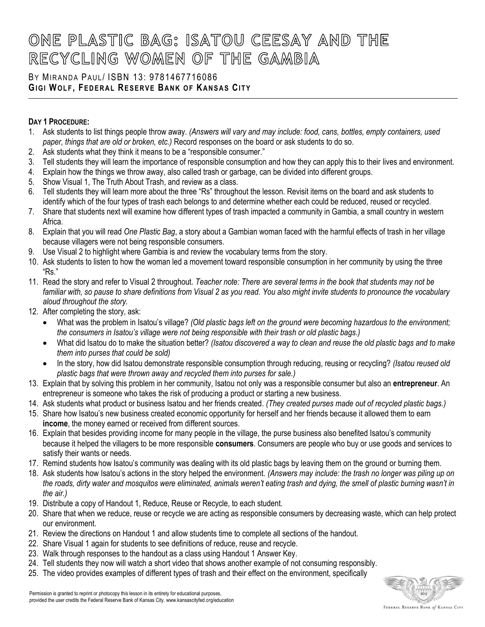### BY MIRANDA PAUL/ ISBN 13: [9781467716086](https://www.abebooks.com/products/isbn/9781467716086/21787143457) **GI G I WO L F , FE D E R A L RE S E R V E BA N K O F KA N S A S CI T Y**

### **DAY 1 PROCEDURE:**

- 1. Ask students to list things people throw away. *(Answers will vary and may include: food, cans, bottles, empty containers, used paper, things that are old or broken, etc.)* Record responses on the board or ask students to do so.
- 2. Ask students what they think it means to be a "responsible consumer."
- 3. Tell students they will learn the importance of responsible consumption and how they can apply this to their lives and environment.
- 4. Explain how the things we throw away, also called trash or garbage, can be divided into different groups.
- 5. Show Visual 1, The Truth About Trash, and review as a class.
- 6. Tell students they will learn more about the three "Rs" throughout the lesson. Revisit items on the board and ask students to identify which of the four types of trash each belongs to and determine whether each could be reduced, reused or recycled.
- 7. Share that students next will examine how different types of trash impacted a community in Gambia, a small country in western Africa.
- 8. Explain that you will read *One Plastic Bag*, a story about a Gambian woman faced with the harmful effects of trash in her village because villagers were not being responsible consumers.
- 9. Use Visual 2 to highlight where Gambia is and review the vocabulary terms from the story.
- 10. Ask students to listen to how the woman led a movement toward responsible consumption in her community by using the three "Rs."
- 11. Read the story and refer to Visual 2 throughout. *Teacher note: There are several terms in the book that students may not be familiar with, so pause to share definitions from Visual 2 as you read. You also might invite students to pronounce the vocabulary aloud throughout the story.*
- 12. After completing the story, ask:
	- What was the problem in Isatou's village? *(Old plastic bags left on the ground were becoming hazardous to the environment; the consumers in Isatou's village were not being responsible with their trash or old plastic bags.)*
	- What did Isatou do to make the situation better? *(Isatou discovered a way to clean and reuse the old plastic bags and to make them into purses that could be sold)*
	- In the story, how did Isatou demonstrate responsible consumption through reducing, reusing or recycling? *(Isatou reused old plastic bags that were thrown away and recycled them into purses for sale.)*
- 13. Explain that by solving this problem in her community, Isatou not only was a responsible consumer but also an **entrepreneur**. An entrepreneur is someone who takes the risk of producing a product or starting a new business.
- 14. Ask students what product or business Isatou and her friends created. *(They created purses made out of recycled plastic bags.)*
- 15. Share how Isatou's new business created economic opportunity for herself and her friends because it allowed them to earn **income**, the money earned or received from different sources.
- 16. Explain that besides providing income for many people in the village, the purse business also benefited Isatou's community because it helped the villagers to be more responsible **consumers**. Consumers are people who buy or use goods and services to satisfy their wants or needs.
- 17. Remind students how Isatou's community was dealing with its old plastic bags by leaving them on the ground or burning them.
- 18. Ask students how Isatou's actions in the story helped the environment*. (Answers may include: the trash no longer was piling up on the roads, dirty water and mosquitos were eliminated, animals weren't eating trash and dying, the smell of plastic burning wasn't in the air.)*
- 19. Distribute a copy of Handout 1, Reduce, Reuse or Recycle, to each student.
- 20. Share that when we reduce, reuse or recycle we are acting as responsible consumers by decreasing waste, which can help protect our environment.
- 21. Review the directions on Handout 1 and allow students time to complete all sections of the handout.
- 22. Share Visual 1 again for students to see definitions of reduce, reuse and recycle.
- 23. Walk through responses to the handout as a class using Handout 1 Answer Key.
- 24. Tell students they now will watch a short video that shows another example of not consuming responsibly.
- 25. The video provides examples of different types of trash and their effect on the environment, specifically

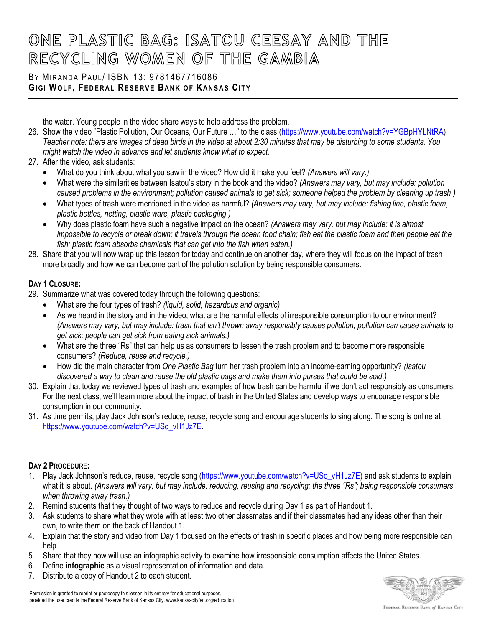### BY MIRANDA PAUL/ ISBN 13: [9781467716086](https://www.abebooks.com/products/isbn/9781467716086/21787143457) **GIGI WOLF, FEDERAL RESERVE BANK OF KANSAS CITY**

the water. Young people in the video share ways to help address the problem.

- 26. Show the video "Plastic Pollution, Our Oceans, Our Future …" to the class [\(https://www.youtube.com/watch?v=YGBpHYLNtRA\)](https://www.youtube.com/watch?v=YGBpHYLNtRA). *Teacher note: there are images of dead birds in the video at about 2:30 minutes that may be disturbing to some students. You might watch the video in advance and let students know what to expect.*
- 27. After the video, ask students:
	- What do you think about what you saw in the video? How did it make you feel? *(Answers will vary.)*
	- What were the similarities between Isatou's story in the book and the video? *(Answers may vary, but may include: pollution caused problems in the environment; pollution caused animals to get sick; someone helped the problem by cleaning up trash.)*
	- What types of trash were mentioned in the video as harmful? *(Answers may vary, but may include: fishing line, plastic foam, plastic bottles, netting, plastic ware, plastic packaging.)*
	- Why does plastic foam have such a negative impact on the ocean? *(Answers may vary, but may include: it is almost*  impossible to recycle or break down; it travels through the ocean food chain; fish eat the plastic foam and then people eat the *fish; plastic foam absorbs chemicals that can get into the fish when eaten.)*
- 28. Share that you will now wrap up this lesson for today and continue on another day, where they will focus on the impact of trash more broadly and how we can become part of the pollution solution by being responsible consumers.

### **DAY 1 CLOSURE:**

- 29. Summarize what was covered today through the following questions:
	- What are the four types of trash? *(liquid, solid, hazardous and organic)*
	- As we heard in the story and in the video, what are the harmful effects of irresponsible consumption to our environment? *(Answers may vary, but may include: trash that isn't thrown away responsibly causes pollution; pollution can cause animals to get sick; people can get sick from eating sick animals.)*
	- What are the three "Rs" that can help us as consumers to lessen the trash problem and to become more responsible consumers? *(Reduce, reuse and recycle.)*
	- How did the main character from *One Plastic Bag* turn her trash problem into an income-earning opportunity? *(Isatou discovered a way to clean and reuse the old plastic bags and make them into purses that could be sold.)*
- 30. Explain that today we reviewed types of trash and examples of how trash can be harmful if we don't act responsibly as consumers. For the next class, we'll learn more about the impact of trash in the United States and develop ways to encourage responsible consumption in our community.
- 31. As time permits, play Jack Johnson's reduce, reuse, recycle song and encourage students to sing along. The song is online at [https://www.youtube.com/watch?v=USo\\_vH1Jz7E.](https://www.youtube.com/watch?v=USo_vH1Jz7E)

### **DAY 2 PROCEDURE:**

- 1. Play Jack Johnson's reduce, reuse, recycle song [\(https://www.youtube.com/watch?v=USo\\_vH1Jz7E\)](https://www.youtube.com/watch?v=USo_vH1Jz7E) and ask students to explain what it is about. (Answers will vary, but may include: reducing, reusing and recycling; the three "Rs"; being responsible consumers *when throwing away trash.)*
- 2. Remind students that they thought of two ways to reduce and recycle during Day 1 as part of Handout 1.
- 3. Ask students to share what they wrote with at least two other classmates and if their classmates had any ideas other than their own, to write them on the back of Handout 1.
- 4. Explain that the story and video from Day 1 focused on the effects of trash in specific places and how being more responsible can help.
- 5. Share that they now will use an infographic activity to examine how irresponsible consumption affects the United States.
- 6. Define **infographic** as a visual representation of information and data.
- 7. Distribute a copy of Handout 2 to each student.

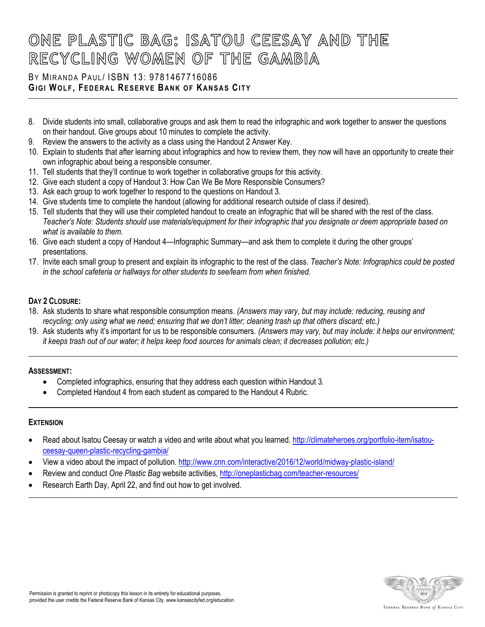## BY MIRANDA PAUL/ ISBN 13: [9781467716086](https://www.abebooks.com/products/isbn/9781467716086/21787143457) **GIGI WOLF, FEDERAL RESERVE BANK OF KANSAS CITY**

- 8. Divide students into small, collaborative groups and ask them to read the infographic and work together to answer the questions on their handout. Give groups about 10 minutes to complete the activity.
- 9. Review the answers to the activity as a class using the Handout 2 Answer Key.
- 10. Explain to students that after learning about infographics and how to review them, they now will have an opportunity to create their own infographic about being a responsible consumer.
- 11. Tell students that they'll continue to work together in collaborative groups for this activity.
- 12. Give each student a copy of Handout 3: How Can We Be More Responsible Consumers?
- 13. Ask each group to work together to respond to the questions on Handout 3.
- 14. Give students time to complete the handout (allowing for additional research outside of class if desired).
- 15. Tell students that they will use their completed handout to create an infographic that will be shared with the rest of the class. *Teacher's Note: Students should use materials/equipment for their infographic that you designate or deem appropriate based on what is available to them.*
- 16. Give each student a copy of Handout 4—Infographic Summary—and ask them to complete it during the other groups' presentations.
- 17. Invite each small group to present and explain its infographic to the rest of the class. *Teacher's Note: Infographics could be posted in the school cafeteria or hallways for other students to see/learn from when finished.*

### **DAY 2 CLOSURE:**

- 18. Ask students to share what responsible consumption means. *(Answers may vary, but may include: reducing, reusing and recycling; only using what we need; ensuring that we don't litter; cleaning trash up that others discard; etc.)*
- 19. Ask students why it's important for us to be responsible consumers. *(Answers may vary, but may include: it helps our environment; it keeps trash out of our water; it helps keep food sources for animals clean; it decreases pollution; etc.)*

### **ASSESSMENT:**

- Completed infographics, ensuring that they address each question within Handout 3.
- Completed Handout 4 from each student as compared to the Handout 4 Rubric.

### **EXTENSION**

- Read about Isatou Ceesay or watch a video and write about what you learned[. http://climateheroes.org/portfolio-item/isatou](http://climateheroes.org/portfolio-item/isatou-ceesay-queen-plastic-recycling-gambia/)[ceesay-queen-plastic-recycling-gambia/](http://climateheroes.org/portfolio-item/isatou-ceesay-queen-plastic-recycling-gambia/)
- View a video about the impact of pollution[. http://www.cnn.com/interactive/2016/12/world/midway-plastic-island/](http://www.cnn.com/interactive/2016/12/world/midway-plastic-island/)
- Review and conduct *One Plastic Bag* website activities[, http://oneplasticbag.com/teacher-resources/](http://oneplasticbag.com/teacher-resources/)
- Research Earth Day, April 22, and find out how to get involved.

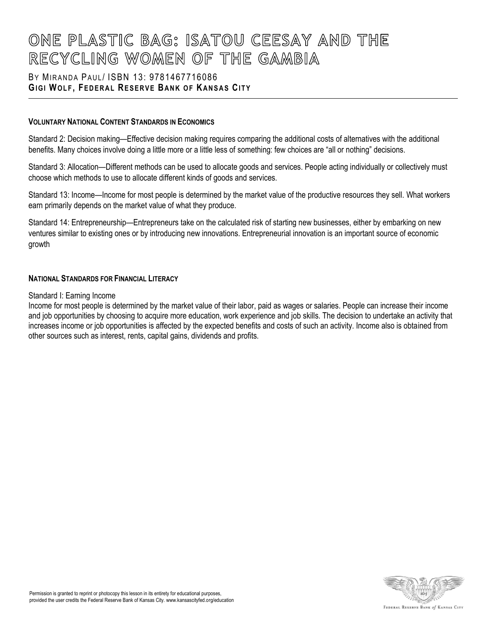### BY MIRANDA PAUL/ ISBN 13: [9781467716086](https://www.abebooks.com/products/isbn/9781467716086/21787143457) **GI G I WO L F , FE D E R A L RE S E R V E BA N K O F KA N S A S CI T Y**

### **VOLUNTARY NATIONAL CONTENT STANDARDS IN ECONOMICS**

Standard 2: Decision making—Effective decision making requires comparing the additional costs of alternatives with the additional benefits. Many choices involve doing a little more or a little less of something: few choices are "all or nothing" decisions.

Standard 3: Allocation—Different methods can be used to allocate goods and services. People acting individually or collectively must choose which methods to use to allocate different kinds of goods and services.

Standard 13: Income—Income for most people is determined by the market value of the productive resources they sell. What workers earn primarily depends on the market value of what they produce.

Standard 14: Entrepreneurship—Entrepreneurs take on the calculated risk of starting new businesses, either by embarking on new ventures similar to existing ones or by introducing new innovations. Entrepreneurial innovation is an important source of economic growth

### **NATIONAL STANDARDS FOR FINANCIAL LITERACY**

#### Standard I: Earning Income

Income for most people is determined by the market value of their labor, paid as wages or salaries. People can increase their income and job opportunities by choosing to acquire more education, work experience and job skills. The decision to undertake an activity that increases income or job opportunities is affected by the expected benefits and costs of such an activity. Income also is obtained from other sources such as interest, rents, capital gains, dividends and profits.

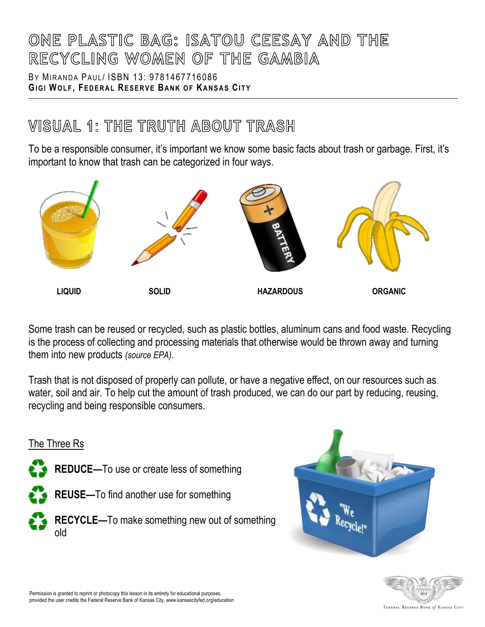BY MIRANDA PAUL/ ISBN 13: [9781467716086](https://www.abebooks.com/products/isbn/9781467716086/21787143457) **GIGI WOLF, FEDERAL RESERVE BANK OF KANSAS CITY** 

## **WISUAL 1: THE TRUTH ABOUT TRASH**

To be a responsible consumer, it's important we know some basic facts about trash or garbage. First, it's important to know that trash can be categorized in four ways.



Some trash can be reused or recycled, such as plastic bottles, aluminum cans and food waste. Recycling is the process of collecting and processing materials that otherwise would be thrown away and turning them into new products *(source EPA)*.

Trash that is not disposed of properly can pollute, or have a negative effect, on our resources such as water, soil and air. To help cut the amount of trash produced, we can do our part by reducing, reusing, recycling and being responsible consumers.



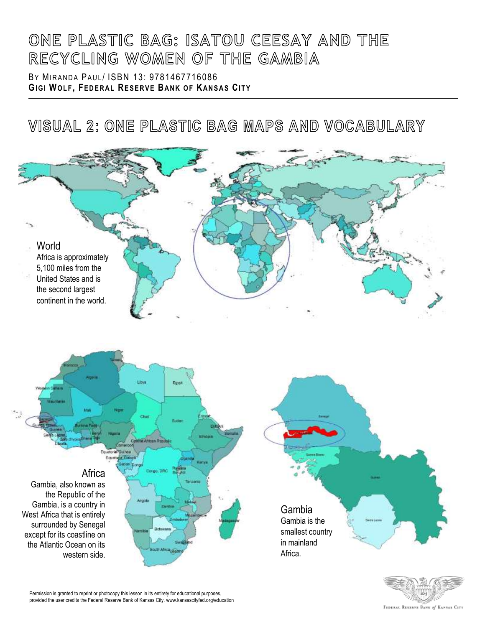BY MIRANDA PAUL/ ISBN 13: [9781467716086](https://www.abebooks.com/products/isbn/9781467716086/21787143457) **GIGI WOLF, FEDERAL RESERVE BANK OF KANSAS CITY** 

VISUAL 2: ONE PLASTIC BAG MAPS AND VOCABULARY



Permission is granted to reprint or photocopy this lesson in its entirety for educational purposes, provided the user credits the Federal Reserve Bank of Kansas City. www.kansascityfed.org/education

FEDERAL RESERVE BANK of KANSAS CITY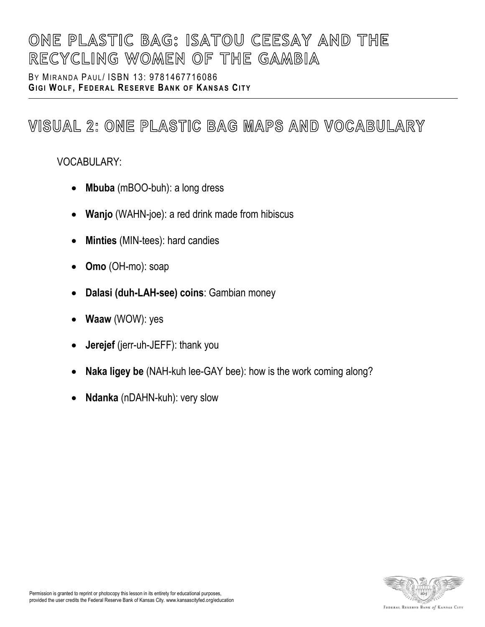BY MIRANDA PAUL/ ISBN 13: [9781467716086](https://www.abebooks.com/products/isbn/9781467716086/21787143457) **GI G I WO L F , FE D E R A L RE S E R V E BA N K O F KA N S A S CI T Y**

## VISUAL 2: ONE PLASTIC BAG MAPS AND VOCABULARY

## VOCABULARY:

- **Mbuba** (mBOO-buh): a long dress
- **Wanjo** (WAHN-joe): a red drink made from hibiscus
- **Minties** (MIN-tees): hard candies
- **Omo** (OH-mo): soap
- **Dalasi (duh-LAH-see) coins**: Gambian money
- **Waaw** (WOW): yes
- **Jerejef** (jerr-uh-JEFF): thank you
- **Naka ligey be** (NAH-kuh lee-GAY bee): how is the work coming along?
- **Ndanka** (nDAHN-kuh): very slow

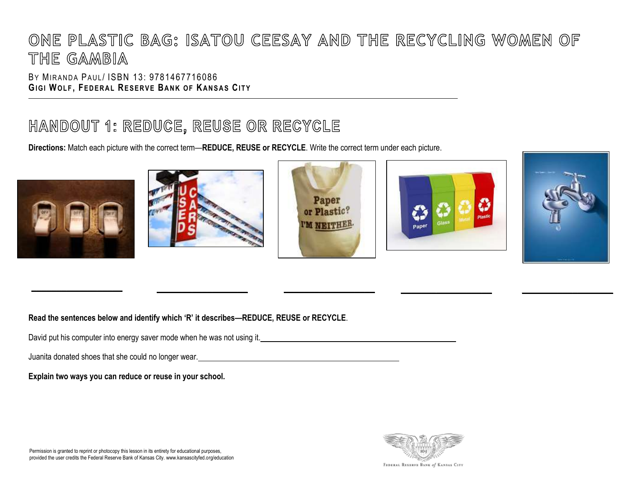BY MIRANDA PAUL / ISBN 13: [9781467716086](https://www.abebooks.com/products/isbn/9781467716086/21787143457) **GIGI WOLF, FEDERAL RESERVE BANK OF KANSAS CITY** 

## HANDOUT 1: REDUCE, REUSE OR RECYCLE

**Directions:** Match each picture with the correct term—**REDUCE, REUSE or RECYCLE**. Write the correct term under each picture.







**\_\_\_\_\_\_\_\_\_\_\_\_\_\_\_\_\_\_ \_\_\_\_\_\_\_\_\_\_\_\_\_\_\_\_\_\_ \_\_\_\_\_\_\_\_\_\_\_\_\_\_\_\_\_\_ \_\_\_\_\_\_\_\_\_\_\_\_\_\_\_\_\_\_ \_\_\_\_\_\_\_\_\_\_\_\_\_\_\_\_\_\_**





**Read the sentences below and identify which 'R' it describes—REDUCE, REUSE or RECYCLE**.

David put his computer into energy saver mode when he was not using it.

Juanita donated shoes that she could no longer wear.

**Explain two ways you can reduce or reuse in your school.**

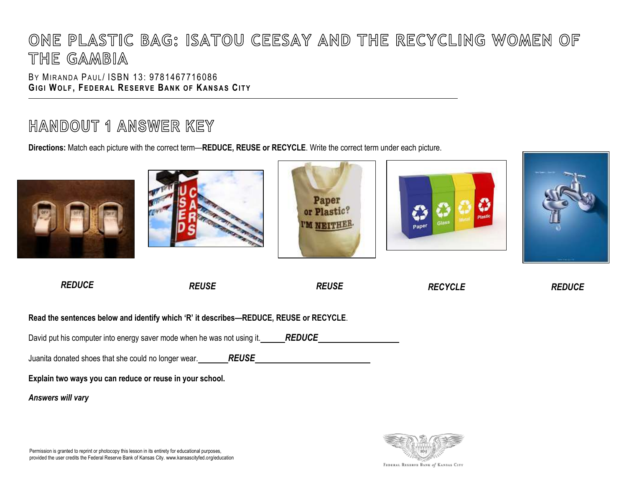BY MIRANDA PAUL / ISBN 13: [9781467716086](https://www.abebooks.com/products/isbn/9781467716086/21787143457) **GIGI WOLF, FEDERAL RESERVE BANK OF KANSAS CITY** 

## HANDOUT 1 ANSWER KEY

**Directions:** Match each picture with the correct term—**REDUCE, REUSE or RECYCLE**. Write the correct term under each picture.



**Explain two ways you can reduce or reuse in your school.**

*Answers will vary*



Permission is granted to reprint or photocopy this lesson in its entirety for educational purposes, provided the user credits the Federal Reserve Bank of Kansas City. www.kansascityfed.org/education

FEDERAL RESERVE BANK of KANSAS CITY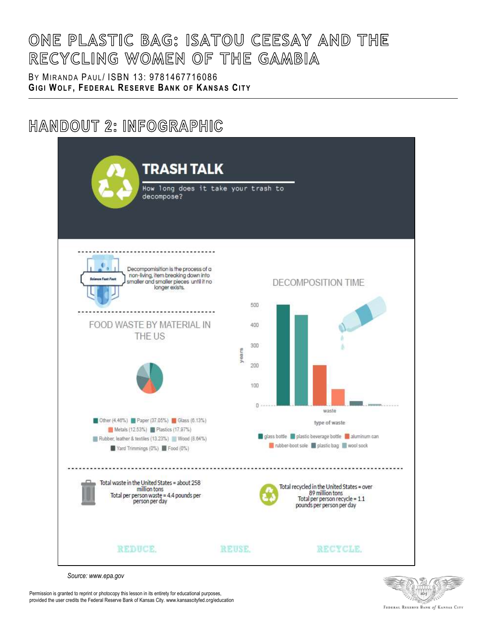BY MIRANDA PAUL/ ISBN 13: [9781467716086](https://www.abebooks.com/products/isbn/9781467716086/21787143457) **GI G I WO L F , FE D E R A L RE S E R V E BA N K O F KA N S A S CI T Y**

## HANDOUT 2: INFOGRAPHIC



*Source: www.epa.gov*



Permission is granted to reprint or photocopy this lesson in its entirety for educational purposes, provided the user credits the Federal Reserve Bank of Kansas City. www.kansascityfed.org/education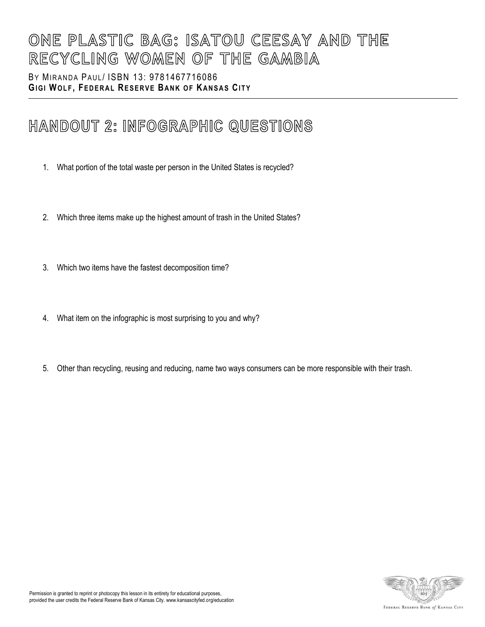BY MIRANDA PAUL/ ISBN 13: [9781467716086](https://www.abebooks.com/products/isbn/9781467716086/21787143457) **GIGI WOLF, FEDERAL RESERVE BANK OF KANSAS CITY** 

## HANDOUT 2: INFOGRAPHIC QUESTIONS

- 1. What portion of the total waste per person in the United States is recycled?
- 2. Which three items make up the highest amount of trash in the United States?
- 3. Which two items have the fastest decomposition time?
- 4. What item on the infographic is most surprising to you and why?
- 5. Other than recycling, reusing and reducing, name two ways consumers can be more responsible with their trash.

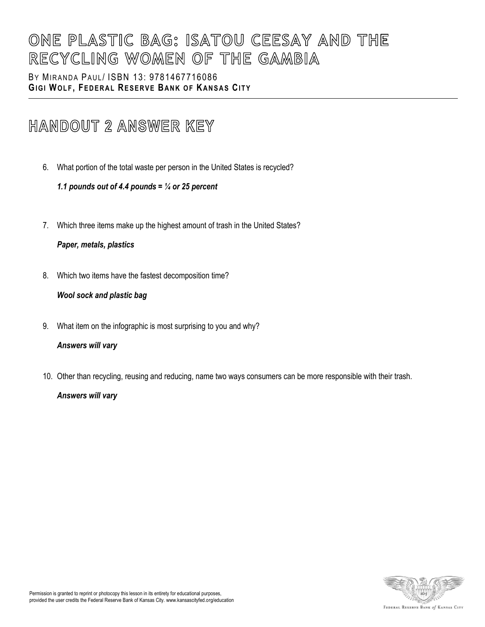### BY MIRANDA PAUL/ ISBN 13: [9781467716086](https://www.abebooks.com/products/isbn/9781467716086/21787143457) **GI G I WO L F , FE D E R A L RE S E R V E BA N K O F KA N S A S CI T Y**

## HANDOUT 2 ANSWER KEY

6. What portion of the total waste per person in the United States is recycled?

### *1.1 pounds out of 4.4 pounds = ¼ or 25 percent*

7. Which three items make up the highest amount of trash in the United States?

### *Paper, metals, plastics*

8. Which two items have the fastest decomposition time?

### *Wool sock and plastic bag*

9. What item on the infographic is most surprising to you and why?

### *Answers will vary*

10. Other than recycling, reusing and reducing, name two ways consumers can be more responsible with their trash.

### *Answers will vary*

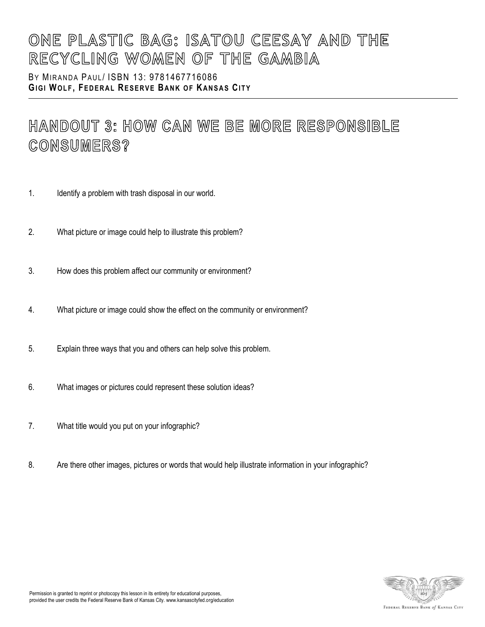BY MIRANDA PAUL/ ISBN 13: [9781467716086](https://www.abebooks.com/products/isbn/9781467716086/21787143457) **GI G I WO L F , FE D E R A L RE S E R V E BA N K O F KA N S A S CI T Y**

## HANDOUT 3: HOW CAN WE BE MORE RESPONSIBLE CONSUMERS?

- 1. Identify a problem with trash disposal in our world.
- 2. What picture or image could help to illustrate this problem?
- 3. How does this problem affect our community or environment?
- 4. What picture or image could show the effect on the community or environment?
- 5. Explain three ways that you and others can help solve this problem.
- 6. What images or pictures could represent these solution ideas?
- 7. What title would you put on your infographic?
- 8. Are there other images, pictures or words that would help illustrate information in your infographic?

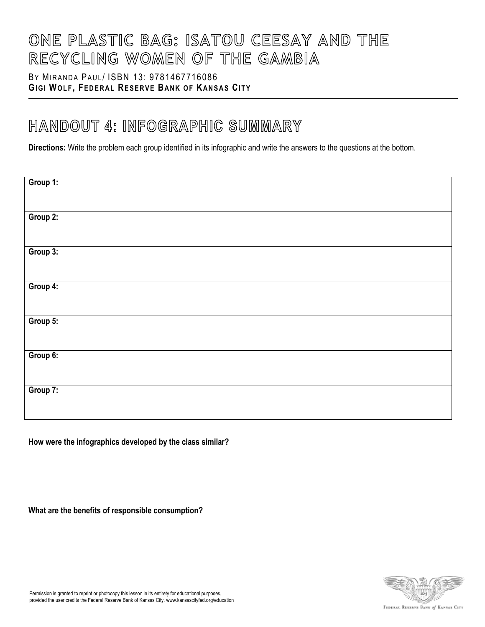## BY MIRANDA PAUL/ ISBN 13: [9781467716086](https://www.abebooks.com/products/isbn/9781467716086/21787143457) **GI G I WO L F , FE D E R A L RE S E R V E BA N K O F KA N S A S CI T Y**

## HANDOUT 4: INFOGRAPHIC SUMMARY

**Directions:** Write the problem each group identified in its infographic and write the answers to the questions at the bottom.

| Group 1: |  |
|----------|--|
|          |  |
| Group 2: |  |
|          |  |
|          |  |
| Group 3: |  |
|          |  |
|          |  |
| Group 4: |  |
|          |  |
|          |  |
| Group 5: |  |
|          |  |
|          |  |
|          |  |
| Group 6: |  |
|          |  |
|          |  |
| Group 7: |  |
|          |  |
|          |  |
|          |  |

**How were the infographics developed by the class similar?**

**What are the benefits of responsible consumption?**